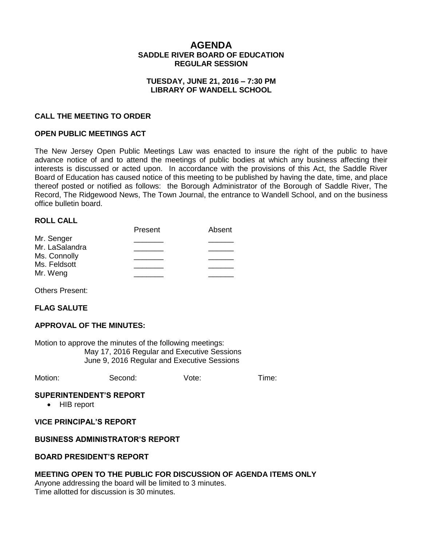# **AGENDA SADDLE RIVER BOARD OF EDUCATION REGULAR SESSION**

#### **TUESDAY, JUNE 21, 2016 – 7:30 PM LIBRARY OF WANDELL SCHOOL**

### **CALL THE MEETING TO ORDER**

### **OPEN PUBLIC MEETINGS ACT**

The New Jersey Open Public Meetings Law was enacted to insure the right of the public to have advance notice of and to attend the meetings of public bodies at which any business affecting their interests is discussed or acted upon. In accordance with the provisions of this Act, the Saddle River Board of Education has caused notice of this meeting to be published by having the date, time, and place thereof posted or notified as follows: the Borough Administrator of the Borough of Saddle River, The Record, The Ridgewood News, The Town Journal, the entrance to Wandell School, and on the business office bulletin board.

#### **ROLL CALL**

|                | Present | Absent |
|----------------|---------|--------|
| Mr. Senger     |         |        |
| Mr. LaSalandra |         |        |
| Ms. Connolly   |         |        |
| Ms. Feldsott   |         |        |
|                |         |        |
| Mr. Weng       |         |        |

Others Present:

#### **FLAG SALUTE**

#### **APPROVAL OF THE MINUTES:**

Motion to approve the minutes of the following meetings: May 17, 2016 Regular and Executive Sessions June 9, 2016 Regular and Executive Sessions

Motion: Second: Vote: Time:

#### **SUPERINTENDENT'S REPORT**

• HIB report

#### **VICE PRINCIPAL'S REPORT**

#### **BUSINESS ADMINISTRATOR'S REPORT**

#### **BOARD PRESIDENT'S REPORT**

### **MEETING OPEN TO THE PUBLIC FOR DISCUSSION OF AGENDA ITEMS ONLY**

Anyone addressing the board will be limited to 3 minutes. Time allotted for discussion is 30 minutes.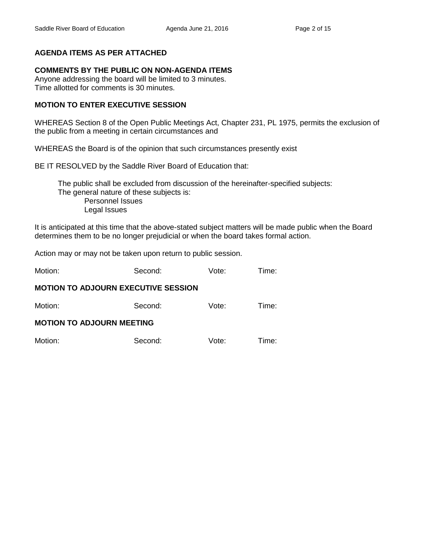# **AGENDA ITEMS AS PER ATTACHED**

# **COMMENTS BY THE PUBLIC ON NON-AGENDA ITEMS**

Anyone addressing the board will be limited to 3 minutes. Time allotted for comments is 30 minutes.

# **MOTION TO ENTER EXECUTIVE SESSION**

WHEREAS Section 8 of the Open Public Meetings Act, Chapter 231, PL 1975, permits the exclusion of the public from a meeting in certain circumstances and

WHEREAS the Board is of the opinion that such circumstances presently exist

BE IT RESOLVED by the Saddle River Board of Education that:

 The public shall be excluded from discussion of the hereinafter-specified subjects: The general nature of these subjects is: Personnel Issues Legal Issues

It is anticipated at this time that the above-stated subject matters will be made public when the Board determines them to be no longer prejudicial or when the board takes formal action.

Action may or may not be taken upon return to public session.

| Motion: | Second: | Vote: | Time: |
|---------|---------|-------|-------|
|         |         |       |       |

#### **MOTION TO ADJOURN EXECUTIVE SESSION**

| Motion:                          | Second: | Vote: | Time: |  |  |
|----------------------------------|---------|-------|-------|--|--|
| <b>MOTION TO ADJOURN MEETING</b> |         |       |       |  |  |
| Motion:                          | Second: | Vote: | Time: |  |  |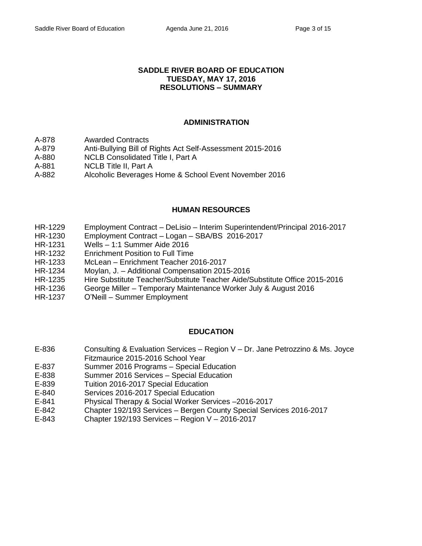#### **SADDLE RIVER BOARD OF EDUCATION TUESDAY, MAY 17, 2016 RESOLUTIONS – SUMMARY**

### **ADMINISTRATION**

- A-878 Awarded Contracts
- A-879 Anti-Bullying Bill of Rights Act Self-Assessment 2015-2016
- A-880 NCLB Consolidated Title I, Part A
- A-881 NCLB Title II, Part A
- A-882 Alcoholic Beverages Home & School Event November 2016

#### **HUMAN RESOURCES**

- HR-1229 Employment Contract DeLisio Interim Superintendent/Principal 2016-2017
- HR-1230 Employment Contract Logan SBA/BS 2016-2017
- HR-1231 Wells 1:1 Summer Aide 2016
- HR-1232 Enrichment Position to Full Time
- HR-1233 McLean Enrichment Teacher 2016-2017
- HR-1234 Moylan, J. Additional Compensation 2015-2016
- HR-1235 Hire Substitute Teacher/Substitute Teacher Aide/Substitute Office 2015-2016
- HR-1236 George Miller Temporary Maintenance Worker July & August 2016
- HR-1237 O'Neill Summer Employment

# **EDUCATION**

- E-836 Consulting & Evaluation Services Region V Dr. Jane Petrozzino & Ms. Joyce Fitzmaurice 2015-2016 School Year
- 
- E-837 Summer 2016 Programs Special Education
- E-838 Summer 2016 Services Special Education
- E-839 Tuition 2016-2017 Special Education
- E-840 Services 2016-2017 Special Education
- E-841 Physical Therapy & Social Worker Services –2016-2017
- E-842 Chapter 192/193 Services Bergen County Special Services 2016-2017
- E-843 Chapter 192/193 Services Region V 2016-2017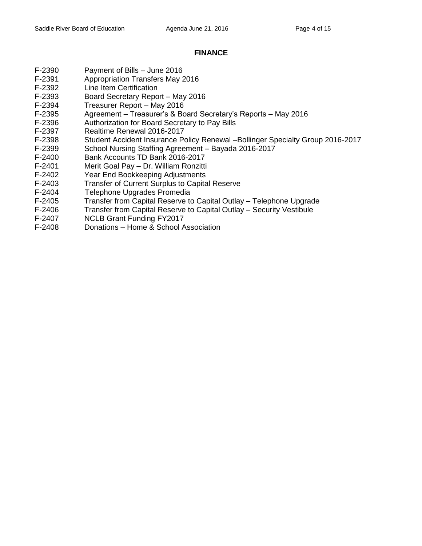# **FINANCE**

- F-2390 Payment of Bills June 2016
- F-2391 Appropriation Transfers May 2016
- F-2392 Line Item Certification
- F-2393 Board Secretary Report May 2016
- F-2394 Treasurer Report May 2016
- F-2395 Agreement Treasurer's & Board Secretary's Reports May 2016
- F-2396 Authorization for Board Secretary to Pay Bills
- F-2397 Realtime Renewal 2016-2017
- F-2398 Student Accident Insurance Policy Renewal –Bollinger Specialty Group 2016-2017
- F-2399 School Nursing Staffing Agreement Bayada 2016-2017
- F-2400 Bank Accounts TD Bank 2016-2017
- F-2401 Merit Goal Pay Dr. William Ronzitti
- F-2402 Year End Bookkeeping Adjustments
- F-2403 Transfer of Current Surplus to Capital Reserve
- F-2404 Telephone Upgrades Promedia
- F-2405 Transfer from Capital Reserve to Capital Outlay Telephone Upgrade
- F-2406 Transfer from Capital Reserve to Capital Outlay Security Vestibule
- F-2407 NCLB Grant Funding FY2017
- F-2408 Donations Home & School Association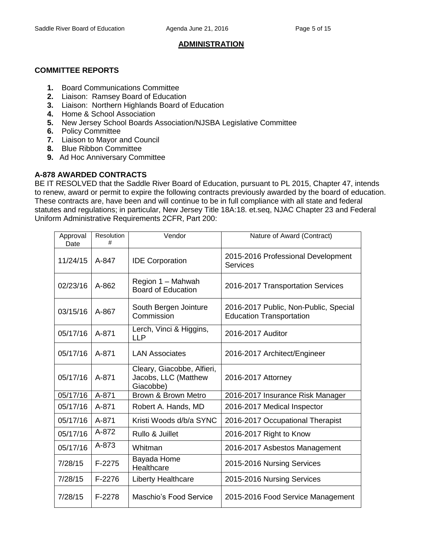# **ADMINISTRATION**

# **COMMITTEE REPORTS**

- **1.** Board Communications Committee
- **2.** Liaison: Ramsey Board of Education
- **3.** Liaison: Northern Highlands Board of Education
- **4.** Home & School Association
- **5.** New Jersey School Boards Association/NJSBA Legislative Committee
- **6.** Policy Committee
- **7.** Liaison to Mayor and Council
- **8.** Blue Ribbon Committee
- **9.** Ad Hoc Anniversary Committee

# **A-878 AWARDED CONTRACTS**

BE IT RESOLVED that the Saddle River Board of Education, pursuant to PL 2015, Chapter 47, intends to renew, award or permit to expire the following contracts previously awarded by the board of education. These contracts are, have been and will continue to be in full compliance with all state and federal statutes and regulations; in particular, New Jersey Title 18A:18. et.seq, NJAC Chapter 23 and Federal Uniform Administrative Requirements 2CFR, Part 200:

| Approval<br>Date      | Resolution<br># | Vendor                                                          | Nature of Award (Contract)                                               |
|-----------------------|-----------------|-----------------------------------------------------------------|--------------------------------------------------------------------------|
| 11/24/15              | A-847           | <b>IDE Corporation</b>                                          | 2015-2016 Professional Development<br>Services                           |
| 02/23/16              | $A - 862$       | Region 1 - Mahwah<br><b>Board of Education</b>                  | 2016-2017 Transportation Services                                        |
| 03/15/16              | A-867           | South Bergen Jointure<br>Commission                             | 2016-2017 Public, Non-Public, Special<br><b>Education Transportation</b> |
| 05/17/16              | A-871           | Lerch, Vinci & Higgins,<br><b>LLP</b>                           | 2016-2017 Auditor                                                        |
| 05/17/16              | A-871           | <b>LAN Associates</b>                                           | 2016-2017 Architect/Engineer                                             |
| 05/17/16              | A-871           | Cleary, Giacobbe, Alfieri,<br>Jacobs, LLC (Matthew<br>Giacobbe) | 2016-2017 Attorney                                                       |
| $\overline{05}/17/16$ | A-871           | Brown & Brown Metro                                             | 2016-2017 Insurance Risk Manager                                         |
| 05/17/16              | A-871           | Robert A. Hands, MD                                             | 2016-2017 Medical Inspector                                              |
| 05/17/16              | A-871           | Kristi Woods d/b/a SYNC                                         | 2016-2017 Occupational Therapist                                         |
| 05/17/16              | A-872           | Rullo & Juillet                                                 | 2016-2017 Right to Know                                                  |
| 05/17/16              | A-873           | Whitman                                                         | 2016-2017 Asbestos Management                                            |
| 7/28/15               | $F-2275$        | Bayada Home<br>Healthcare                                       | 2015-2016 Nursing Services                                               |
| 7/28/15               | F-2276          | Liberty Healthcare                                              | 2015-2016 Nursing Services                                               |
| 7/28/15               | F-2278          | Maschio's Food Service                                          | 2015-2016 Food Service Management                                        |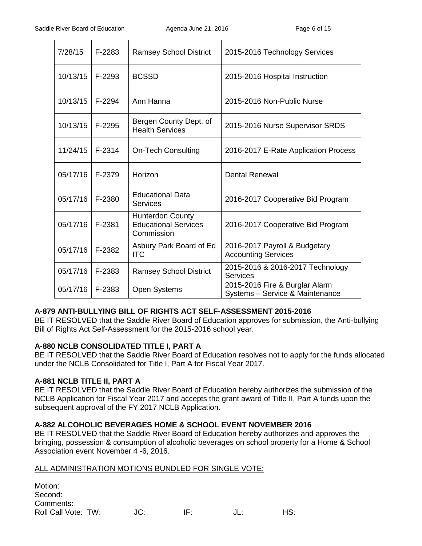| 7/28/15  | F-2283 | <b>Ramsey School District</b>                                        | 2015-2016 Technology Services                                     |
|----------|--------|----------------------------------------------------------------------|-------------------------------------------------------------------|
| 10/13/15 | F-2293 | <b>BCSSD</b>                                                         | 2015-2016 Hospital Instruction                                    |
| 10/13/15 | F-2294 | Ann Hanna                                                            | 2015-2016 Non-Public Nurse                                        |
| 10/13/15 | F-2295 | Bergen County Dept. of<br><b>Health Services</b>                     | 2015-2016 Nurse Supervisor SRDS                                   |
| 11/24/15 | F-2314 | <b>On-Tech Consulting</b>                                            | 2016-2017 E-Rate Application Process                              |
| 05/17/16 | F-2379 | Horizon                                                              | <b>Dental Renewal</b>                                             |
| 05/17/16 | F-2380 | <b>Educational Data</b><br>Services                                  | 2016-2017 Cooperative Bid Program                                 |
| 05/17/16 | F-2381 | <b>Hunterdon County</b><br><b>Educational Services</b><br>Commission | 2016-2017 Cooperative Bid Program                                 |
| 05/17/16 | F-2382 | Asbury Park Board of Ed<br><b>ITC</b>                                | 2016-2017 Payroll & Budgetary<br><b>Accounting Services</b>       |
| 05/17/16 | F-2383 | <b>Ramsey School District</b>                                        | 2015-2016 & 2016-2017 Technology<br><b>Services</b>               |
| 05/17/16 | F-2383 | <b>Open Systems</b>                                                  | 2015-2016 Fire & Burglar Alarm<br>Systems - Service & Maintenance |

# **A-879 ANTI-BULLYING BILL OF RIGHTS ACT SELF-ASSESSMENT 2015-2016**

BE IT RESOLVED that the Saddle River Board of Education approves for submission, the Anti-bullying Bill of Rights Act Self-Assessment for the 2015-2016 school year.

#### **A-880 NCLB CONSOLIDATED TITLE I, PART A**

BE IT RESOLVED that the Saddle River Board of Education resolves not to apply for the funds allocated under the NCLB Consolidated for Title I, Part A for Fiscal Year 2017.

# **A-881 NCLB TITLE II, PART A**

BE IT RESOLVED that the Saddle River Board of Education hereby authorizes the submission of the NCLB Application for Fiscal Year 2017 and accepts the grant award of Title II, Part A funds upon the subsequent approval of the FY 2017 NCLB Application.

# **A-882 ALCOHOLIC BEVERAGES HOME & SCHOOL EVENT NOVEMBER 2016**

BE IT RESOLVED that the Saddle River Board of Education hereby authorizes and approves the bringing, possession & consumption of alcoholic beverages on school property for a Home & School Association event November 4 -6, 2016.

#### ALL ADMINISTRATION MOTIONS BUNDLED FOR SINGLE VOTE:

| Motion:<br>Second:<br>Comments: |     |     |     |     |
|---------------------------------|-----|-----|-----|-----|
| Roll Call Vote: TW:             | JC: | IF. | JL: | HS: |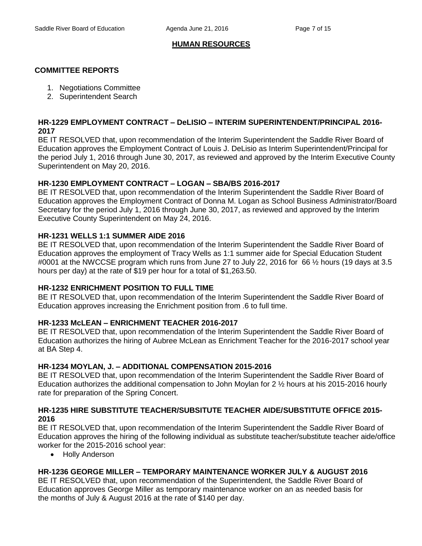# **HUMAN RESOURCES**

# **COMMITTEE REPORTS**

- 1. Negotiations Committee
- 2. Superintendent Search

### **HR-1229 EMPLOYMENT CONTRACT – DeLISIO – INTERIM SUPERINTENDENT/PRINCIPAL 2016- 2017**

BE IT RESOLVED that, upon recommendation of the Interim Superintendent the Saddle River Board of Education approves the Employment Contract of Louis J. DeLisio as Interim Superintendent/Principal for the period July 1, 2016 through June 30, 2017, as reviewed and approved by the Interim Executive County Superintendent on May 20, 2016.

# **HR-1230 EMPLOYMENT CONTRACT – LOGAN – SBA/BS 2016-2017**

BE IT RESOLVED that, upon recommendation of the Interim Superintendent the Saddle River Board of Education approves the Employment Contract of Donna M. Logan as School Business Administrator/Board Secretary for the period July 1, 2016 through June 30, 2017, as reviewed and approved by the Interim Executive County Superintendent on May 24, 2016.

# **HR-1231 WELLS 1:1 SUMMER AIDE 2016**

BE IT RESOLVED that, upon recommendation of the Interim Superintendent the Saddle River Board of Education approves the employment of Tracy Wells as 1:1 summer aide for Special Education Student #0001 at the NWCCSE program which runs from June 27 to July 22, 2016 for 66 ½ hours (19 days at 3.5 hours per day) at the rate of \$19 per hour for a total of \$1,263.50.

# **HR-1232 ENRICHMENT POSITION TO FULL TIME**

BE IT RESOLVED that, upon recommendation of the Interim Superintendent the Saddle River Board of Education approves increasing the Enrichment position from .6 to full time.

# **HR-1233 McLEAN – ENRICHMENT TEACHER 2016-2017**

BE IT RESOLVED that, upon recommendation of the Interim Superintendent the Saddle River Board of Education authorizes the hiring of Aubree McLean as Enrichment Teacher for the 2016-2017 school year at BA Step 4.

# **HR-1234 MOYLAN, J. – ADDITIONAL COMPENSATION 2015-2016**

BE IT RESOLVED that, upon recommendation of the Interim Superintendent the Saddle River Board of Education authorizes the additional compensation to John Moylan for 2 ½ hours at his 2015-2016 hourly rate for preparation of the Spring Concert.

# **HR-1235 HIRE SUBSTITUTE TEACHER/SUBSITUTE TEACHER AIDE/SUBSTITUTE OFFICE 2015- 2016**

BE IT RESOLVED that, upon recommendation of the Interim Superintendent the Saddle River Board of Education approves the hiring of the following individual as substitute teacher/substitute teacher aide/office worker for the 2015-2016 school year:

Holly Anderson

# **HR-1236 GEORGE MILLER – TEMPORARY MAINTENANCE WORKER JULY & AUGUST 2016**

BE IT RESOLVED that, upon recommendation of the Superintendent, the Saddle River Board of Education approves George Miller as temporary maintenance worker on an as needed basis for the months of July & August 2016 at the rate of \$140 per day.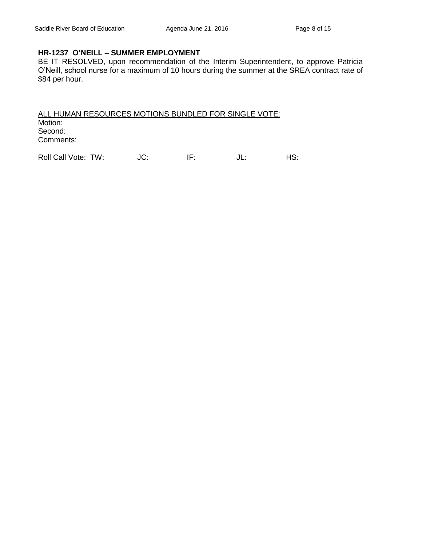#### **HR-1237 O'NEILL – SUMMER EMPLOYMENT**

BE IT RESOLVED, upon recommendation of the Interim Superintendent, to approve Patricia O'Neill, school nurse for a maximum of 10 hours during the summer at the SREA contract rate of \$84 per hour.

ALL HUMAN RESOURCES MOTIONS BUNDLED FOR SINGLE VOTE: Motion: Second: Comments:

Roll Call Vote: TW:  $JC:$  IF:  $JL:$  HS: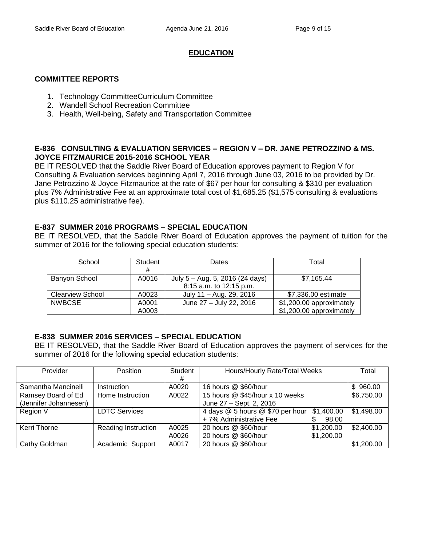# **EDUCATION**

### **COMMITTEE REPORTS**

- 1. Technology CommitteeCurriculum Committee
- 2. Wandell School Recreation Committee
- 3. Health, Well-being, Safety and Transportation Committee

### **E-836 CONSULTING & EVALUATION SERVICES – REGION V – DR. JANE PETROZZINO & MS. JOYCE FITZMAURICE 2015-2016 SCHOOL YEAR**

BE IT RESOLVED that the Saddle River Board of Education approves payment to Region V for Consulting & Evaluation services beginning April 7, 2016 through June 03, 2016 to be provided by Dr. Jane Petrozzino & Joyce Fitzmaurice at the rate of \$67 per hour for consulting & \$310 per evaluation plus 7% Administrative Fee at an approximate total cost of \$1,685.25 (\$1,575 consulting & evaluations plus \$110.25 administrative fee).

# **E-837 SUMMER 2016 PROGRAMS – SPECIAL EDUCATION**

BE IT RESOLVED, that the Saddle River Board of Education approves the payment of tuition for the summer of 2016 for the following special education students:

| School                  | Student | Dates                           | Total                    |
|-------------------------|---------|---------------------------------|--------------------------|
|                         | #       |                                 |                          |
| <b>Banyon School</b>    | A0016   | July 5 - Aug. 5, 2016 (24 days) | \$7.165.44               |
|                         |         | 8:15 a.m. to 12:15 p.m.         |                          |
| <b>Clearview School</b> | A0023   | July 11 - Aug. 29, 2016         | \$7,336.00 estimate      |
| <b>NWBCSE</b>           | A0001   | June 27 - July 22, 2016         | \$1,200.00 approximately |
|                         | A0003   |                                 | \$1,200.00 approximately |

# **E-838 SUMMER 2016 SERVICES – SPECIAL EDUCATION**

BE IT RESOLVED, that the Saddle River Board of Education approves the payment of services for the summer of 2016 for the following special education students:

| Provider              | <b>Position</b>      | Student<br># | Hours/Hourly Rate/Total Weeks    |            | Total         |
|-----------------------|----------------------|--------------|----------------------------------|------------|---------------|
| Samantha Mancinelli   | Instruction          | A0020        | 16 hours @ \$60/hour             |            | 960.00<br>\$. |
| Ramsey Board of Ed    | Home Instruction     | A0022        | 15 hours @ \$45/hour x 10 weeks  |            | \$6,750.00    |
| (Jennifer Johannesen) |                      |              | June 27 - Sept. 2, 2016          |            |               |
| Region V              | <b>LDTC Services</b> |              | 4 days @ 5 hours @ \$70 per hour | \$1,400.00 | \$1,498.00    |
|                       |                      |              | +7% Administrative Fee           | 98.00      |               |
| Kerri Thorne          | Reading Instruction  | A0025        | 20 hours @ \$60/hour             | \$1,200.00 | \$2,400.00    |
|                       |                      | A0026        | 20 hours @ \$60/hour             | \$1,200.00 |               |
| Cathy Goldman         | Academic Support     | A0017        | 20 hours @ \$60/hour             |            | \$1,200.00    |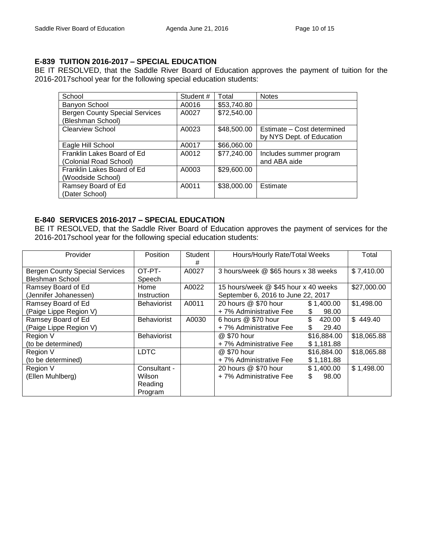# **E-839 TUITION 2016-2017 – SPECIAL EDUCATION**

BE IT RESOLVED, that the Saddle River Board of Education approves the payment of tuition for the 2016-2017school year for the following special education students:

| School                                | Student # | Total       | <b>Notes</b>               |
|---------------------------------------|-----------|-------------|----------------------------|
| Banyon School                         | A0016     | \$53,740.80 |                            |
| <b>Bergen County Special Services</b> | A0027     | \$72,540.00 |                            |
| (Bleshman School)                     |           |             |                            |
| <b>Clearview School</b>               | A0023     | \$48,500.00 | Estimate - Cost determined |
|                                       |           |             | by NYS Dept. of Education  |
| Eagle Hill School                     | A0017     | \$66,060.00 |                            |
| Franklin Lakes Board of Ed            | A0012     | \$77,240.00 | Includes summer program    |
| (Colonial Road School)                |           |             | and ABA aide               |
| Franklin Lakes Board of Ed            | A0003     | \$29,600.00 |                            |
| (Woodside School)                     |           |             |                            |
| Ramsey Board of Ed                    | A0011     | \$38,000.00 | Estimate                   |
| (Dater School)                        |           |             |                            |

### **E-840 SERVICES 2016-2017 – SPECIAL EDUCATION**

BE IT RESOLVED, that the Saddle River Board of Education approves the payment of services for the 2016-2017school year for the following special education students:

| Provider                              | <b>Position</b>    | Student | Hours/Hourly Rate/Total Weeks        |              | Total       |
|---------------------------------------|--------------------|---------|--------------------------------------|--------------|-------------|
|                                       |                    | #       |                                      |              |             |
| <b>Bergen County Special Services</b> | OT-PT-             | A0027   | 3 hours/week @ \$65 hours x 38 weeks |              | \$7,410.00  |
| <b>Bleshman School</b>                | Speech             |         |                                      |              |             |
| Ramsey Board of Ed                    | Home               | A0022   | 15 hours/week @ \$45 hour x 40 weeks |              | \$27,000.00 |
| (Jennifer Johanessen)                 | Instruction        |         | September 6, 2016 to June 22, 2017   |              |             |
| Ramsey Board of Ed                    | <b>Behaviorist</b> | A0011   | 20 hours @ \$70 hour                 | \$1,400.00   | \$1,498.00  |
| (Paige Lippe Region V)                |                    |         | +7% Administrative Fee               | 98.00<br>\$. |             |
| Ramsey Board of Ed                    | <b>Behaviorist</b> | A0030   | 6 hours @ \$70 hour                  | \$<br>420.00 | \$449.40    |
| (Paige Lippe Region V)                |                    |         | +7% Administrative Fee               | \$<br>29.40  |             |
| Region V                              | <b>Behaviorist</b> |         | @ \$70 hour                          | \$16,884.00  | \$18,065.88 |
| (to be determined)                    |                    |         | +7% Administrative Fee               | \$1,181.88   |             |
| Region V                              | <b>LDTC</b>        |         | @ \$70 hour                          | \$16,884.00  | \$18,065.88 |
| (to be determined)                    |                    |         | +7% Administrative Fee               | \$1,181.88   |             |
| Region V                              | Consultant -       |         | 20 hours @ \$70 hour                 | \$1,400.00   | \$1,498.00  |
| (Ellen Muhlberg)                      | Wilson             |         | +7% Administrative Fee               | \$<br>98.00  |             |
|                                       | Reading            |         |                                      |              |             |
|                                       | Program            |         |                                      |              |             |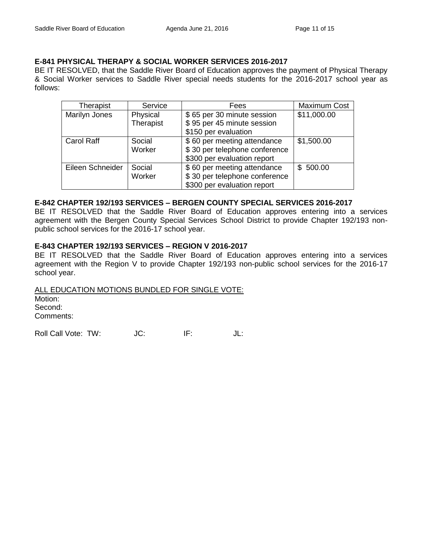### **E-841 PHYSICAL THERAPY & SOCIAL WORKER SERVICES 2016-2017**

BE IT RESOLVED, that the Saddle River Board of Education approves the payment of Physical Therapy & Social Worker services to Saddle River special needs students for the 2016-2017 school year as follows:

| Therapist         | Service   | Fees                          | <b>Maximum Cost</b> |
|-------------------|-----------|-------------------------------|---------------------|
| Marilyn Jones     | Physical  | \$65 per 30 minute session    | \$11,000.00         |
|                   | Therapist | \$95 per 45 minute session    |                     |
|                   |           | \$150 per evaluation          |                     |
| <b>Carol Raff</b> | Social    | \$60 per meeting attendance   | \$1,500.00          |
|                   | Worker    | \$30 per telephone conference |                     |
|                   |           | \$300 per evaluation report   |                     |
| Eileen Schneider  | Social    | \$60 per meeting attendance   | \$500.00            |
|                   | Worker    | \$30 per telephone conference |                     |
|                   |           | \$300 per evaluation report   |                     |

### **E-842 CHAPTER 192/193 SERVICES – BERGEN COUNTY SPECIAL SERVICES 2016-2017**

BE IT RESOLVED that the Saddle River Board of Education approves entering into a services agreement with the Bergen County Special Services School District to provide Chapter 192/193 nonpublic school services for the 2016-17 school year.

### **E-843 CHAPTER 192/193 SERVICES – REGION V 2016-2017**

BE IT RESOLVED that the Saddle River Board of Education approves entering into a services agreement with the Region V to provide Chapter 192/193 non-public school services for the 2016-17 school year.

ALL EDUCATION MOTIONS BUNDLED FOR SINGLE VOTE: Motion: Second: Comments:

Roll Call Vote: TW: JC: IF: JL: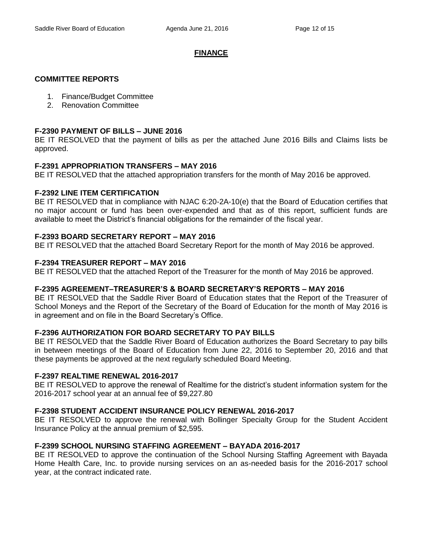# **FINANCE**

# **COMMITTEE REPORTS**

- 1. Finance/Budget Committee
- 2. Renovation Committee

### **F-2390 PAYMENT OF BILLS – JUNE 2016**

BE IT RESOLVED that the payment of bills as per the attached June 2016 Bills and Claims lists be approved.

### **F-2391 APPROPRIATION TRANSFERS – MAY 2016**

BE IT RESOLVED that the attached appropriation transfers for the month of May 2016 be approved.

# **F-2392 LINE ITEM CERTIFICATION**

BE IT RESOLVED that in compliance with NJAC 6:20-2A-10(e) that the Board of Education certifies that no major account or fund has been over-expended and that as of this report, sufficient funds are available to meet the District's financial obligations for the remainder of the fiscal year.

### **F-2393 BOARD SECRETARY REPORT – MAY 2016**

BE IT RESOLVED that the attached Board Secretary Report for the month of May 2016 be approved.

### **F-2394 TREASURER REPORT – MAY 2016**

BE IT RESOLVED that the attached Report of the Treasurer for the month of May 2016 be approved.

#### **F-2395 AGREEMENT–TREASURER'S & BOARD SECRETARY'S REPORTS – MAY 2016**

BE IT RESOLVED that the Saddle River Board of Education states that the Report of the Treasurer of School Moneys and the Report of the Secretary of the Board of Education for the month of May 2016 is in agreement and on file in the Board Secretary's Office.

# **F-2396 AUTHORIZATION FOR BOARD SECRETARY TO PAY BILLS**

BE IT RESOLVED that the Saddle River Board of Education authorizes the Board Secretary to pay bills in between meetings of the Board of Education from June 22, 2016 to September 20, 2016 and that these payments be approved at the next regularly scheduled Board Meeting.

#### **F-2397 REALTIME RENEWAL 2016-2017**

BE IT RESOLVED to approve the renewal of Realtime for the district's student information system for the 2016-2017 school year at an annual fee of \$9,227.80

# **F-2398 STUDENT ACCIDENT INSURANCE POLICY RENEWAL 2016-2017**

BE IT RESOLVED to approve the renewal with Bollinger Specialty Group for the Student Accident Insurance Policy at the annual premium of \$2,595.

# **F-2399 SCHOOL NURSING STAFFING AGREEMENT – BAYADA 2016-2017**

BE IT RESOLVED to approve the continuation of the School Nursing Staffing Agreement with Bayada Home Health Care, Inc. to provide nursing services on an as-needed basis for the 2016-2017 school year, at the contract indicated rate.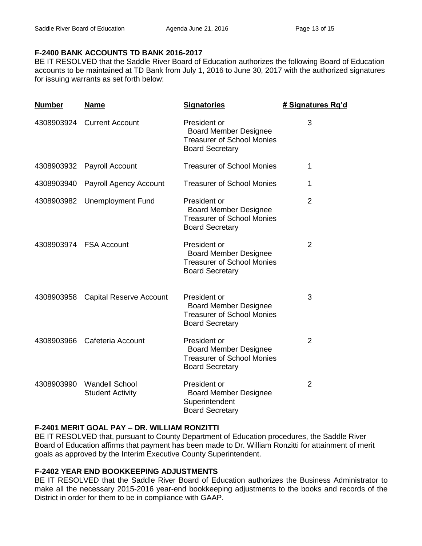# **F-2400 BANK ACCOUNTS TD BANK 2016-2017**

BE IT RESOLVED that the Saddle River Board of Education authorizes the following Board of Education accounts to be maintained at TD Bank from July 1, 2016 to June 30, 2017 with the authorized signatures for issuing warrants as set forth below:

| <b>Number</b> | <u>Name</u>                                      | <b>Signatories</b>                                                                                          | # Signatures Rg'd |
|---------------|--------------------------------------------------|-------------------------------------------------------------------------------------------------------------|-------------------|
| 4308903924    | <b>Current Account</b>                           | President or<br><b>Board Member Designee</b><br><b>Treasurer of School Monies</b><br><b>Board Secretary</b> | 3                 |
| 4308903932    | Payroll Account                                  | <b>Treasurer of School Monies</b>                                                                           | 1                 |
| 4308903940    | Payroll Agency Account                           | <b>Treasurer of School Monies</b>                                                                           | 1                 |
| 4308903982    | <b>Unemployment Fund</b>                         | President or<br><b>Board Member Designee</b><br><b>Treasurer of School Monies</b><br><b>Board Secretary</b> | $\overline{2}$    |
| 4308903974    | <b>FSA Account</b>                               | President or<br><b>Board Member Designee</b><br><b>Treasurer of School Monies</b><br><b>Board Secretary</b> | $\overline{2}$    |
| 4308903958    | <b>Capital Reserve Account</b>                   | President or<br><b>Board Member Designee</b><br><b>Treasurer of School Monies</b><br><b>Board Secretary</b> | 3                 |
| 4308903966    | Cafeteria Account                                | President or<br><b>Board Member Designee</b><br><b>Treasurer of School Monies</b><br><b>Board Secretary</b> | $\overline{2}$    |
| 4308903990    | <b>Wandell School</b><br><b>Student Activity</b> | President or<br><b>Board Member Designee</b><br>Superintendent<br><b>Board Secretary</b>                    | $\overline{2}$    |

# **F-2401 MERIT GOAL PAY – DR. WILLIAM RONZITTI**

BE IT RESOLVED that, pursuant to County Department of Education procedures, the Saddle River Board of Education affirms that payment has been made to Dr. William Ronzitti for attainment of merit goals as approved by the Interim Executive County Superintendent.

# **F-2402 YEAR END BOOKKEEPING ADJUSTMENTS**

BE IT RESOLVED that the Saddle River Board of Education authorizes the Business Administrator to make all the necessary 2015-2016 year-end bookkeeping adjustments to the books and records of the District in order for them to be in compliance with GAAP.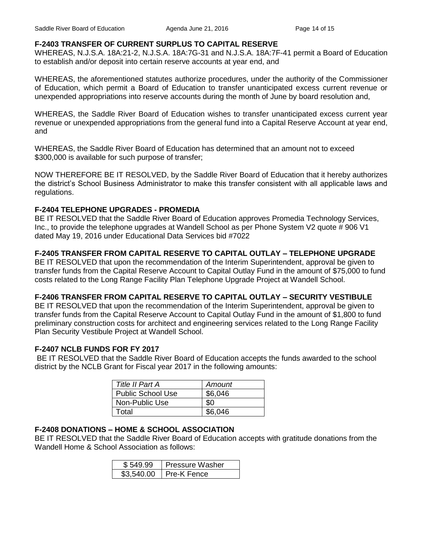#### **F-2403 TRANSFER OF CURRENT SURPLUS TO CAPITAL RESERVE**

WHEREAS, N.J.S.A. 18A:21-2, N.J.S.A. 18A:7G-31 and N.J.S.A. 18A:7F-41 permit a Board of Education to establish and/or deposit into certain reserve accounts at year end, and

WHEREAS, the aforementioned statutes authorize procedures, under the authority of the Commissioner of Education, which permit a Board of Education to transfer unanticipated excess current revenue or unexpended appropriations into reserve accounts during the month of June by board resolution and,

WHEREAS, the Saddle River Board of Education wishes to transfer unanticipated excess current year revenue or unexpended appropriations from the general fund into a Capital Reserve Account at year end, and

WHEREAS, the Saddle River Board of Education has determined that an amount not to exceed \$300,000 is available for such purpose of transfer;

NOW THEREFORE BE IT RESOLVED, by the Saddle River Board of Education that it hereby authorizes the district's School Business Administrator to make this transfer consistent with all applicable laws and regulations.

### **F-2404 TELEPHONE UPGRADES - PROMEDIA**

BE IT RESOLVED that the Saddle River Board of Education approves Promedia Technology Services, Inc., to provide the telephone upgrades at Wandell School as per Phone System V2 quote # 906 V1 dated May 19, 2016 under Educational Data Services bid #7022

# **F-2405 TRANSFER FROM CAPITAL RESERVE TO CAPITAL OUTLAY – TELEPHONE UPGRADE**

BE IT RESOLVED that upon the recommendation of the Interim Superintendent, approval be given to transfer funds from the Capital Reserve Account to Capital Outlay Fund in the amount of \$75,000 to fund costs related to the Long Range Facility Plan Telephone Upgrade Project at Wandell School.

# **F-2406 TRANSFER FROM CAPITAL RESERVE TO CAPITAL OUTLAY – SECURITY VESTIBULE**

BE IT RESOLVED that upon the recommendation of the Interim Superintendent, approval be given to transfer funds from the Capital Reserve Account to Capital Outlay Fund in the amount of \$1,800 to fund preliminary construction costs for architect and engineering services related to the Long Range Facility Plan Security Vestibule Project at Wandell School.

#### **F-2407 NCLB FUNDS FOR FY 2017**

BE IT RESOLVED that the Saddle River Board of Education accepts the funds awarded to the school district by the NCLB Grant for Fiscal year 2017 in the following amounts:

| Title II Part A          | Amount  |
|--------------------------|---------|
| <b>Public School Use</b> | \$6,046 |
| Non-Public Use           | SO.     |
| Гоtal                    | \$6.046 |

# **F-2408 DONATIONS – HOME & SCHOOL ASSOCIATION**

BE IT RESOLVED that the Saddle River Board of Education accepts with gratitude donations from the Wandell Home & School Association as follows:

| \$549.99   | <b>Pressure Washer</b> |
|------------|------------------------|
| \$3.540.00 | Pre-K Fence            |